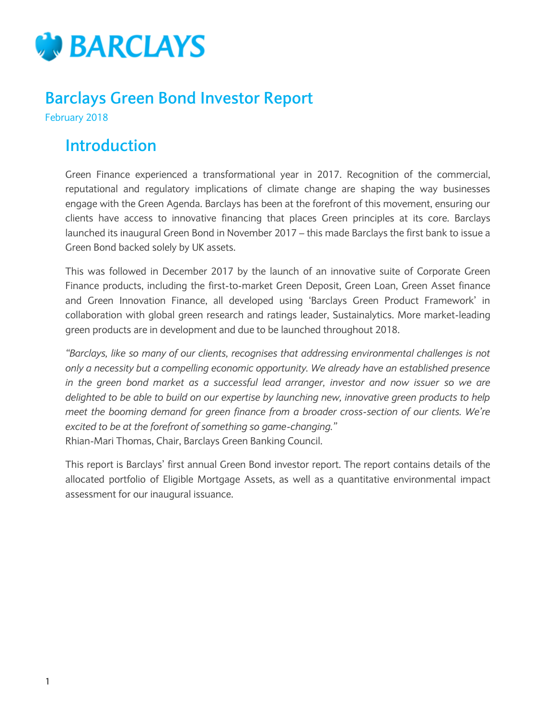

### **Barclays Green Bond Investor Report**

February 2018

### **Introduction**

Green Finance experienced a transformational year in 2017. Recognition of the commercial, reputational and regulatory implications of climate change are shaping the way businesses engage with the Green Agenda. Barclays has been at the forefront of this movement, ensuring our clients have access to innovative financing that places Green principles at its core. Barclays launched its inaugural Green Bond in November 2017 – this made Barclays the first bank to issue a Green Bond backed solely by UK assets.

This was followed in December 2017 by the launch of an innovative suite of Corporate Green Finance products, including the first-to-market Green Deposit, Green Loan, Green Asset finance and Green Innovation Finance, all developed using 'Barclays Green Product Framework' in collaboration with global green research and ratings leader, Sustainalytics. More market-leading green products are in development and due to be launched throughout 2018.

*"Barclays, like so many of our clients, recognises that addressing environmental challenges is not only a necessity but a compelling economic opportunity. We already have an established presence in the green bond market as a successful lead arranger, investor and now issuer so we are delighted to be able to build on our expertise by launching new, innovative green products to help meet the booming demand for green finance from a broader cross-section of our clients. We're excited to be at the forefront of something so game-changing."*  Rhian-Mari Thomas, Chair, Barclays Green Banking Council.

This report is Barclays' first annual Green Bond investor report. The report contains details of the allocated portfolio of Eligible Mortgage Assets, as well as a quantitative environmental impact assessment for our inaugural issuance.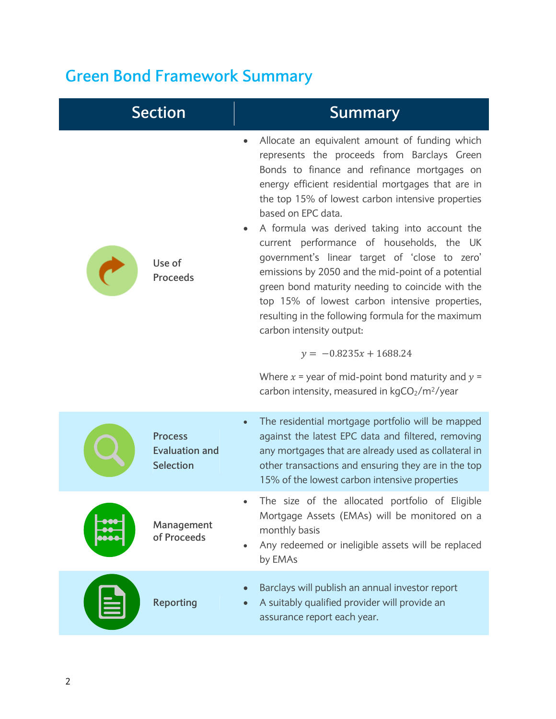# **Green Bond Framework Summary**

| <b>Section</b>                                              | <b>Summary</b>                                                                                                                                                                                                                                                                                                                                                                                                                                                                                                                                                                                                                                                                                                                                                                                                                           |
|-------------------------------------------------------------|------------------------------------------------------------------------------------------------------------------------------------------------------------------------------------------------------------------------------------------------------------------------------------------------------------------------------------------------------------------------------------------------------------------------------------------------------------------------------------------------------------------------------------------------------------------------------------------------------------------------------------------------------------------------------------------------------------------------------------------------------------------------------------------------------------------------------------------|
| Use of<br><b>Proceeds</b>                                   | Allocate an equivalent amount of funding which<br>represents the proceeds from Barclays Green<br>Bonds to finance and refinance mortgages on<br>energy efficient residential mortgages that are in<br>the top 15% of lowest carbon intensive properties<br>based on EPC data.<br>A formula was derived taking into account the<br>current performance of households, the UK<br>government's linear target of 'close to zero'<br>emissions by 2050 and the mid-point of a potential<br>green bond maturity needing to coincide with the<br>top 15% of lowest carbon intensive properties,<br>resulting in the following formula for the maximum<br>carbon intensity output:<br>$y = -0.8235x + 1688.24$<br>Where $x =$ year of mid-point bond maturity and $y =$<br>carbon intensity, measured in kgCO <sub>2</sub> /m <sup>2</sup> /year |
| <b>Process</b><br><b>Evaluation and</b><br><b>Selection</b> | The residential mortgage portfolio will be mapped<br>$\bullet$<br>against the latest EPC data and filtered, removing<br>any mortgages that are already used as collateral in<br>other transactions and ensuring they are in the top<br>15% of the lowest carbon intensive properties                                                                                                                                                                                                                                                                                                                                                                                                                                                                                                                                                     |
| Management<br>of Proceeds                                   | The size of the allocated portfolio of Eligible<br>Mortgage Assets (EMAs) will be monitored on a<br>monthly basis<br>Any redeemed or ineligible assets will be replaced<br>by EMAs                                                                                                                                                                                                                                                                                                                                                                                                                                                                                                                                                                                                                                                       |
| <b>Reporting</b>                                            | Barclays will publish an annual investor report<br>A suitably qualified provider will provide an<br>assurance report each year.                                                                                                                                                                                                                                                                                                                                                                                                                                                                                                                                                                                                                                                                                                          |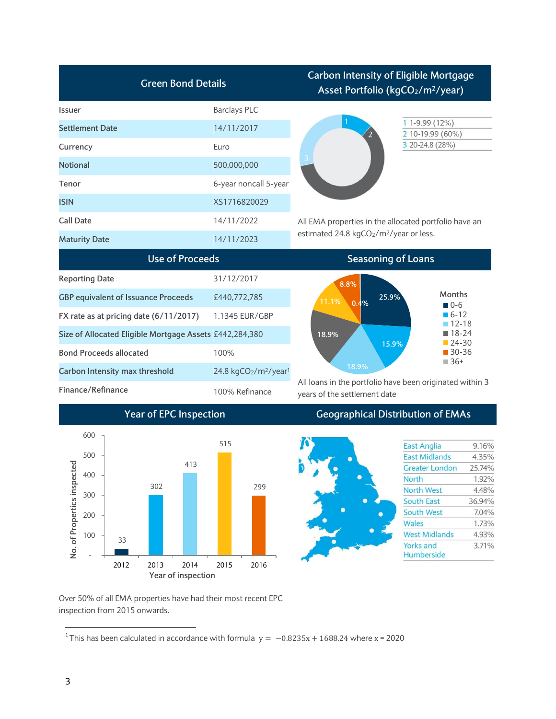| <b>Green Bond Details</b>                               |                                                           | <b>Carbon Intensity of Eligible Mortgage</b><br>Asset Portfolio (kgCO <sub>2</sub> /m <sup>2</sup> /year)                |  |
|---------------------------------------------------------|-----------------------------------------------------------|--------------------------------------------------------------------------------------------------------------------------|--|
| <b>Issuer</b>                                           | <b>Barclays PLC</b>                                       |                                                                                                                          |  |
| <b>Settlement Date</b>                                  | 14/11/2017                                                | $1 - 9.99(12\%)$<br>2 10-19.99 (60%)                                                                                     |  |
| Currency                                                | Euro                                                      | 3 20-24.8 (28%)                                                                                                          |  |
| <b>Notional</b>                                         | 500,000,000                                               |                                                                                                                          |  |
| Tenor                                                   | 6-year noncall 5-year                                     |                                                                                                                          |  |
| <b>ISIN</b>                                             | XS1716820029                                              |                                                                                                                          |  |
| <b>Call Date</b>                                        | 14/11/2022                                                | All EMA properties in the allocated portfolio have an<br>estimated 24.8 kgCO <sub>2</sub> /m <sup>2</sup> /year or less. |  |
| <b>Maturity Date</b>                                    | 14/11/2023                                                |                                                                                                                          |  |
| <b>Use of Proceeds</b>                                  |                                                           | <b>Seasoning of Loans</b>                                                                                                |  |
| <b>Reporting Date</b>                                   | 31/12/2017                                                |                                                                                                                          |  |
| <b>GBP equivalent of Issuance Proceeds</b>              | £440,772,785                                              | 8.8%<br>Months<br>25.9%<br>11.1%                                                                                         |  |
| FX rate as at pricing date (6/11/2017)                  | 1.1345 EUR/GBP                                            | 0.4%<br>$\blacksquare$ 0-6<br>$\blacksquare$ 6-12                                                                        |  |
| Size of Allocated Eligible Mortgage Assets £442,284,380 |                                                           | $12 - 18$<br>$18-24$<br>18.9%                                                                                            |  |
| <b>Bond Proceeds allocated</b>                          | 100%                                                      | $-24-30$<br>15.9%<br>$30-36$                                                                                             |  |
| Carbon Intensity max threshold                          | 24.8 kgCO <sub>2</sub> /m <sup>2</sup> /year <sup>1</sup> | $\Box$ 36+<br>18.9%                                                                                                      |  |
| Finance/Refinance                                       | 100% Refinance                                            | All loans in the portfolio have been originated within 3                                                                 |  |
|                                                         |                                                           | years of the settlement date                                                                                             |  |
| <b>Year of EPC Inspection</b>                           |                                                           | <b>Geographical Distribution of EMAs</b>                                                                                 |  |
| 600                                                     | 515                                                       | <b>East Anglia</b><br>9.16%                                                                                              |  |
| 500                                                     |                                                           | <b>East Midlands</b><br>4.35%                                                                                            |  |
| ್ಠಾ<br>413                                              |                                                           | 25.74%<br>Greater London                                                                                                 |  |
| 400                                                     |                                                           | $\bullet$<br>North<br>1.92%                                                                                              |  |
| 302<br>300                                              | 299                                                       | North West<br>4.48%                                                                                                      |  |
| No. of Propertics inspect                               |                                                           | <b>South East</b><br>36.94%                                                                                              |  |
| 200                                                     |                                                           | South West<br>7.04%                                                                                                      |  |
|                                                         |                                                           | Wales<br>1.73%                                                                                                           |  |
| 100<br>33                                               |                                                           | <b>West Midlands</b><br>4.93%<br>Yorks and                                                                               |  |
|                                                         |                                                           | 3.71%<br>Humberside                                                                                                      |  |

Over 50% of all EMA properties have had their most recent EPC inspection from 2015 onwards.

2012 2013 2014 2015 2016

**Year of inspection**

This has been calculated in accordance with formula  $y = -0.8235x + 1688.24$  where x = 2020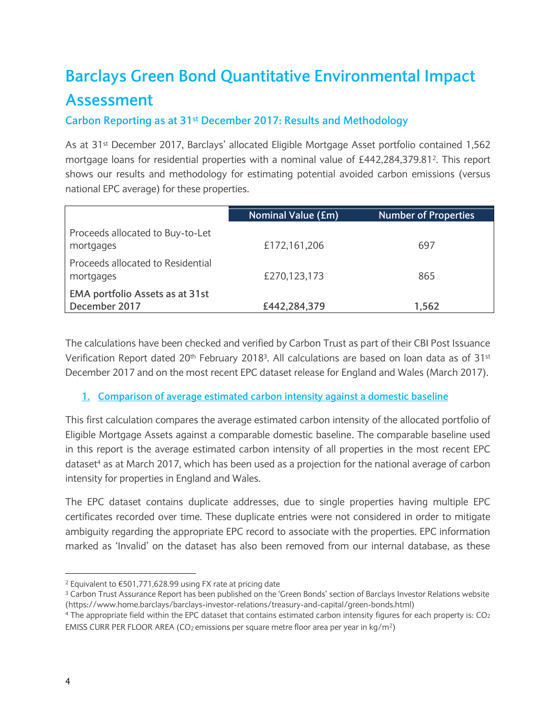## **Barclays Green Bond Quantitative Environmental Impact Assessment**

#### **Carbon Reporting as at 31st December 2017: Results and Methodology**

As at 31st December 2017, Barclays' allocated Eligible Mortgage Asset portfolio contained 1,562 mortgage loans for residential properties with a nominal value of £442,284,379.81<sup>2</sup> . This report shows our results and methodology for estimating potential avoided carbon emissions (versus national EPC average) for these properties.

|                                                  | <b>Nominal Value (£m)</b> | <b>Number of Properties</b> |
|--------------------------------------------------|---------------------------|-----------------------------|
| Proceeds allocated to Buy-to-Let<br>mortgages    | £172,161,206              | 697                         |
| Proceeds allocated to Residential<br>mortgages   | £270,123,173              | 865                         |
| EMA portfolio Assets as at 31st<br>December 2017 | £442,284,379              | 1,562                       |

The calculations have been checked and verified by Carbon Trust as part of their CBI Post Issuance Verification Report dated 20<sup>th</sup> February 2018<sup>3</sup>. All calculations are based on loan data as of 31st December 2017 and on the most recent EPC dataset release for England and Wales (March 2017).

#### **1. Comparison of average estimated carbon intensity against a domestic baseline**

This first calculation compares the average estimated carbon intensity of the allocated portfolio of Eligible Mortgage Assets against a comparable domestic baseline. The comparable baseline used in this report is the average estimated carbon intensity of all properties in the most recent EPC dataset<sup>4</sup> as at March 2017, which has been used as a projection for the national average of carbon intensity for properties in England and Wales.

The EPC dataset contains duplicate addresses, due to single properties having multiple EPC certificates recorded over time. These duplicate entries were not considered in order to mitigate ambiguity regarding the appropriate EPC record to associate with the properties. EPC information marked as 'Invalid' on the dataset has also been removed from our internal database, as these

 $\overline{a}$ 

<sup>2</sup> Equivalent to €501,771,628.99 using FX rate at pricing date

<sup>&</sup>lt;sup>3</sup> Carbon Trust Assurance Report has been published on the 'Green Bonds' section of Barclays Investor Relations website (https://www.home.barclays/barclays-investor-relations/treasury-and-capital/green-bonds.html)

<sup>&</sup>lt;sup>4</sup> The appropriate field within the EPC dataset that contains estimated carbon intensity figures for each property is: CO<sub>2</sub> EMISS CURR PER FLOOR AREA (CO<sub>2</sub> emissions per square metre floor area per year in kg/m<sup>2</sup>)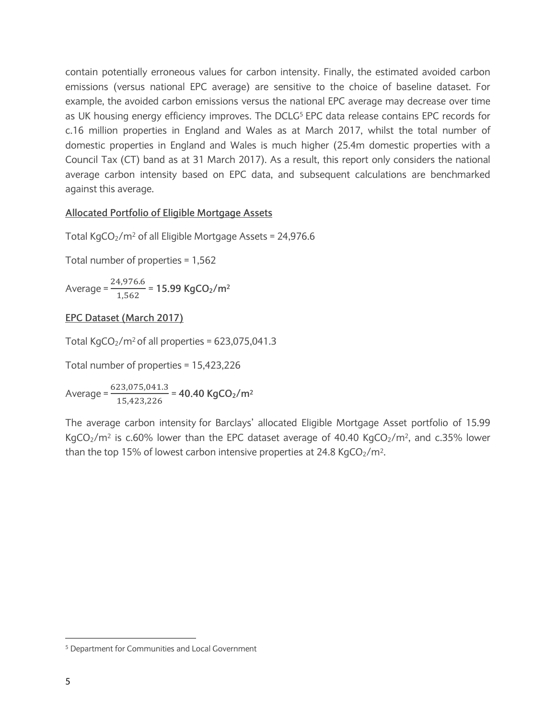contain potentially erroneous values for carbon intensity. Finally, the estimated avoided carbon emissions (versus national EPC average) are sensitive to the choice of baseline dataset. For example, the avoided carbon emissions versus the national EPC average may decrease over time as UK housing energy efficiency improves. The DCLG<sup>5</sup> EPC data release contains EPC records for c.16 million properties in England and Wales as at March 2017, whilst the total number of domestic properties in England and Wales is much higher (25.4m domestic properties with a Council Tax (CT) band as at 31 March 2017). As a result, this report only considers the national average carbon intensity based on EPC data, and subsequent calculations are benchmarked against this average.

#### **Allocated Portfolio of Eligible Mortgage Assets**

Total KgCO<sub>2</sub>/m<sup>2</sup> of all Eligible Mortgage Assets =  $24,976.6$ 

Total number of properties = 1,562

Average =  $\frac{2}{3}$  $\frac{1}{1,562}$  = 15.99 KgCO<sub>2</sub>/m<sup>2</sup>

#### **EPC Dataset (March 2017)**

Total KgCO<sub>2</sub>/m<sup>2</sup> of all properties =  $623,075,041.3$ 

Total number of properties = 15,423,226

Average =  $\frac{6}{5}$  $\frac{15,423,226}{15,423,226}$  = 40.40 KgCO<sub>2</sub>/m<sup>2</sup>

The average carbon intensity for Barclays' allocated Eligible Mortgage Asset portfolio of 15.99 KgCO<sub>2</sub>/m<sup>2</sup> is c.60% lower than the EPC dataset average of 40.40 KgCO<sub>2</sub>/m<sup>2</sup>, and c.35% lower than the top 15% of lowest carbon intensive properties at 24.8 KgCO<sub>2</sub>/m<sup>2</sup>.

 $\overline{\phantom{a}}$ 

<sup>5</sup> Department for Communities and Local Government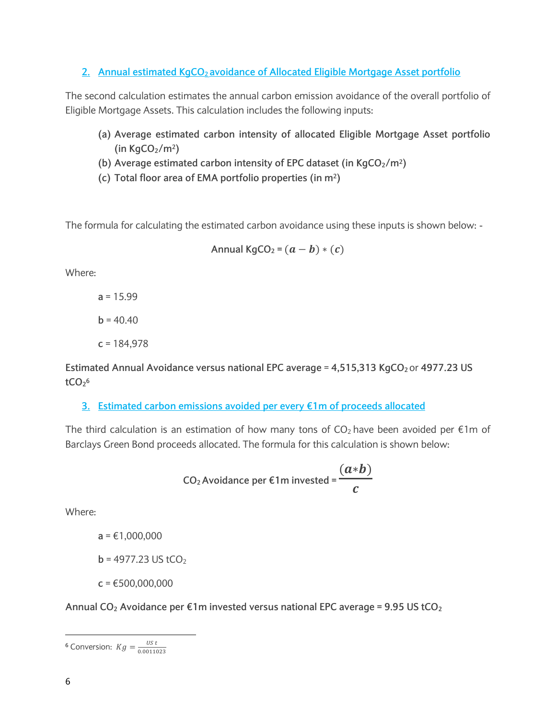**2. Annual estimated KgCO2 avoidance of Allocated Eligible Mortgage Asset portfolio**

The second calculation estimates the annual carbon emission avoidance of the overall portfolio of Eligible Mortgage Assets. This calculation includes the following inputs:

- **(a) Average estimated carbon intensity of allocated Eligible Mortgage Asset portfolio (in KgCO2/m2)**
- **(b) Average estimated carbon intensity of EPC dataset (in KgCO2/m2)**
- **(c) Total floor area of EMA portfolio properties (in m2)**

The formula for calculating the estimated carbon avoidance using these inputs is shown below: -

$$
Annual KgCO2 = (a - b) * (c)
$$

Where:

**a** = 15.99  $b = 40.40$ **c** = 184,978

**Estimated Annual Avoidance versus national EPC average** = **4,515,313 KgCO<sup>2</sup>** or **4977.23 US**   $tCO<sub>2</sub>$ <sup>6</sup>

**3. Estimated carbon emissions avoided per every €1m of proceeds allocated**

The third calculation is an estimation of how many tons of  $CO<sub>2</sub>$  have been avoided per  $\epsilon$ 1m of Barclays Green Bond proceeds allocated. The formula for this calculation is shown below:

CO<sub>2</sub> Avoidance per €1m invested = 
$$
\frac{(a*b)}{c}
$$

Where:

**a** = €1,000,000

 $$ 

**c** = €500,000,000

**Annual CO<sup>2</sup> Avoidance per €1m invested versus national EPC average = 9.95 US tCO<sup>2</sup>**

l <sup>6</sup> Conversion:  $Kg = \frac{U}{2.00}$  $\mathbf{0}$